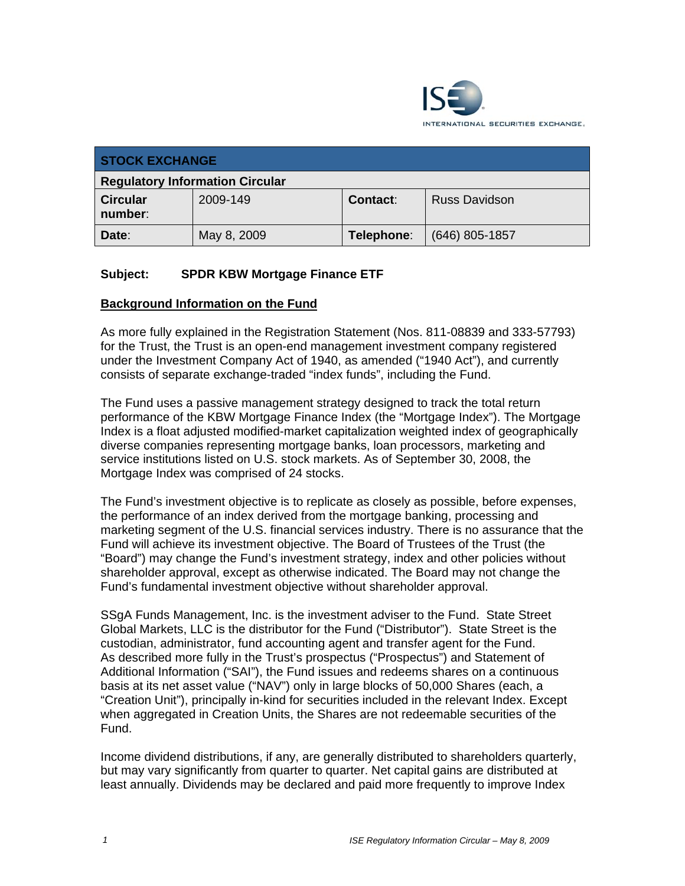

| <b>STOCK EXCHANGE</b>                  |             |                 |                      |
|----------------------------------------|-------------|-----------------|----------------------|
| <b>Regulatory Information Circular</b> |             |                 |                      |
| <b>Circular</b><br>number:             | 2009-149    | <b>Contact:</b> | <b>Russ Davidson</b> |
| Date:                                  | May 8, 2009 | Telephone:      | $(646)$ 805-1857     |

## **Subject: SPDR KBW Mortgage Finance ETF**

## **Background Information on the Fund**

As more fully explained in the Registration Statement (Nos. 811-08839 and 333-57793) for the Trust, the Trust is an open-end management investment company registered under the Investment Company Act of 1940, as amended ("1940 Act"), and currently consists of separate exchange-traded "index funds", including the Fund.

The Fund uses a passive management strategy designed to track the total return performance of the KBW Mortgage Finance Index (the "Mortgage Index"). The Mortgage Index is a float adjusted modified-market capitalization weighted index of geographically diverse companies representing mortgage banks, loan processors, marketing and service institutions listed on U.S. stock markets. As of September 30, 2008, the Mortgage Index was comprised of 24 stocks.

The Fund's investment objective is to replicate as closely as possible, before expenses, the performance of an index derived from the mortgage banking, processing and marketing segment of the U.S. financial services industry. There is no assurance that the Fund will achieve its investment objective. The Board of Trustees of the Trust (the "Board") may change the Fund's investment strategy, index and other policies without shareholder approval, except as otherwise indicated. The Board may not change the Fund's fundamental investment objective without shareholder approval.

SSgA Funds Management, Inc. is the investment adviser to the Fund. State Street Global Markets, LLC is the distributor for the Fund ("Distributor"). State Street is the custodian, administrator, fund accounting agent and transfer agent for the Fund. As described more fully in the Trust's prospectus ("Prospectus") and Statement of Additional Information ("SAI"), the Fund issues and redeems shares on a continuous basis at its net asset value ("NAV") only in large blocks of 50,000 Shares (each, a "Creation Unit"), principally in-kind for securities included in the relevant Index. Except when aggregated in Creation Units, the Shares are not redeemable securities of the Fund.

Income dividend distributions, if any, are generally distributed to shareholders quarterly, but may vary significantly from quarter to quarter. Net capital gains are distributed at least annually. Dividends may be declared and paid more frequently to improve Index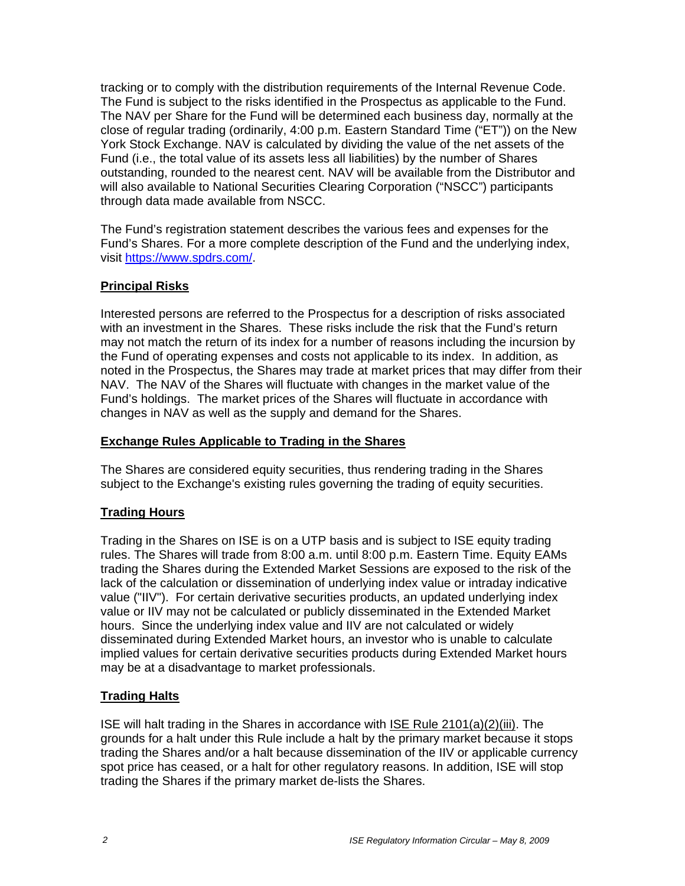tracking or to comply with the distribution requirements of the Internal Revenue Code. The Fund is subject to the risks identified in the Prospectus as applicable to the Fund. The NAV per Share for the Fund will be determined each business day, normally at the close of regular trading (ordinarily, 4:00 p.m. Eastern Standard Time ("ET")) on the New York Stock Exchange. NAV is calculated by dividing the value of the net assets of the Fund (i.e., the total value of its assets less all liabilities) by the number of Shares outstanding, rounded to the nearest cent. NAV will be available from the Distributor and will also available to National Securities Clearing Corporation ("NSCC") participants through data made available from NSCC.

The Fund's registration statement describes the various fees and expenses for the Fund's Shares. For a more complete description of the Fund and the underlying index, visit https://www.spdrs.com/.

## **Principal Risks**

Interested persons are referred to the Prospectus for a description of risks associated with an investment in the Shares. These risks include the risk that the Fund's return may not match the return of its index for a number of reasons including the incursion by the Fund of operating expenses and costs not applicable to its index. In addition, as noted in the Prospectus, the Shares may trade at market prices that may differ from their NAV. The NAV of the Shares will fluctuate with changes in the market value of the Fund's holdings. The market prices of the Shares will fluctuate in accordance with changes in NAV as well as the supply and demand for the Shares.

#### **Exchange Rules Applicable to Trading in the Shares**

The Shares are considered equity securities, thus rendering trading in the Shares subject to the Exchange's existing rules governing the trading of equity securities.

## **Trading Hours**

Trading in the Shares on ISE is on a UTP basis and is subject to ISE equity trading rules. The Shares will trade from 8:00 a.m. until 8:00 p.m. Eastern Time. Equity EAMs trading the Shares during the Extended Market Sessions are exposed to the risk of the lack of the calculation or dissemination of underlying index value or intraday indicative value ("IIV"). For certain derivative securities products, an updated underlying index value or IIV may not be calculated or publicly disseminated in the Extended Market hours. Since the underlying index value and IIV are not calculated or widely disseminated during Extended Market hours, an investor who is unable to calculate implied values for certain derivative securities products during Extended Market hours may be at a disadvantage to market professionals.

## **Trading Halts**

ISE will halt trading in the Shares in accordance with ISE Rule 2101(a)(2)(iii). The grounds for a halt under this Rule include a halt by the primary market because it stops trading the Shares and/or a halt because dissemination of the IIV or applicable currency spot price has ceased, or a halt for other regulatory reasons. In addition, ISE will stop trading the Shares if the primary market de-lists the Shares.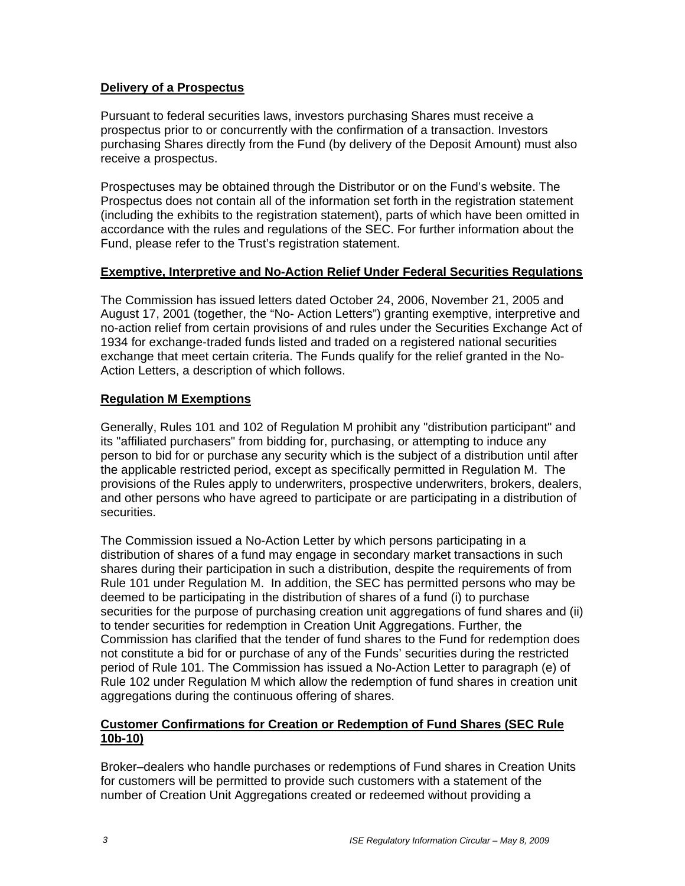## **Delivery of a Prospectus**

Pursuant to federal securities laws, investors purchasing Shares must receive a prospectus prior to or concurrently with the confirmation of a transaction. Investors purchasing Shares directly from the Fund (by delivery of the Deposit Amount) must also receive a prospectus.

Prospectuses may be obtained through the Distributor or on the Fund's website. The Prospectus does not contain all of the information set forth in the registration statement (including the exhibits to the registration statement), parts of which have been omitted in accordance with the rules and regulations of the SEC. For further information about the Fund, please refer to the Trust's registration statement.

#### **Exemptive, Interpretive and No-Action Relief Under Federal Securities Regulations**

The Commission has issued letters dated October 24, 2006, November 21, 2005 and August 17, 2001 (together, the "No- Action Letters") granting exemptive, interpretive and no-action relief from certain provisions of and rules under the Securities Exchange Act of 1934 for exchange-traded funds listed and traded on a registered national securities exchange that meet certain criteria. The Funds qualify for the relief granted in the No-Action Letters, a description of which follows.

## **Regulation M Exemptions**

Generally, Rules 101 and 102 of Regulation M prohibit any "distribution participant" and its "affiliated purchasers" from bidding for, purchasing, or attempting to induce any person to bid for or purchase any security which is the subject of a distribution until after the applicable restricted period, except as specifically permitted in Regulation M. The provisions of the Rules apply to underwriters, prospective underwriters, brokers, dealers, and other persons who have agreed to participate or are participating in a distribution of securities.

The Commission issued a No-Action Letter by which persons participating in a distribution of shares of a fund may engage in secondary market transactions in such shares during their participation in such a distribution, despite the requirements of from Rule 101 under Regulation M. In addition, the SEC has permitted persons who may be deemed to be participating in the distribution of shares of a fund (i) to purchase securities for the purpose of purchasing creation unit aggregations of fund shares and (ii) to tender securities for redemption in Creation Unit Aggregations. Further, the Commission has clarified that the tender of fund shares to the Fund for redemption does not constitute a bid for or purchase of any of the Funds' securities during the restricted period of Rule 101. The Commission has issued a No-Action Letter to paragraph (e) of Rule 102 under Regulation M which allow the redemption of fund shares in creation unit aggregations during the continuous offering of shares.

## **Customer Confirmations for Creation or Redemption of Fund Shares (SEC Rule 10b-10)**

Broker–dealers who handle purchases or redemptions of Fund shares in Creation Units for customers will be permitted to provide such customers with a statement of the number of Creation Unit Aggregations created or redeemed without providing a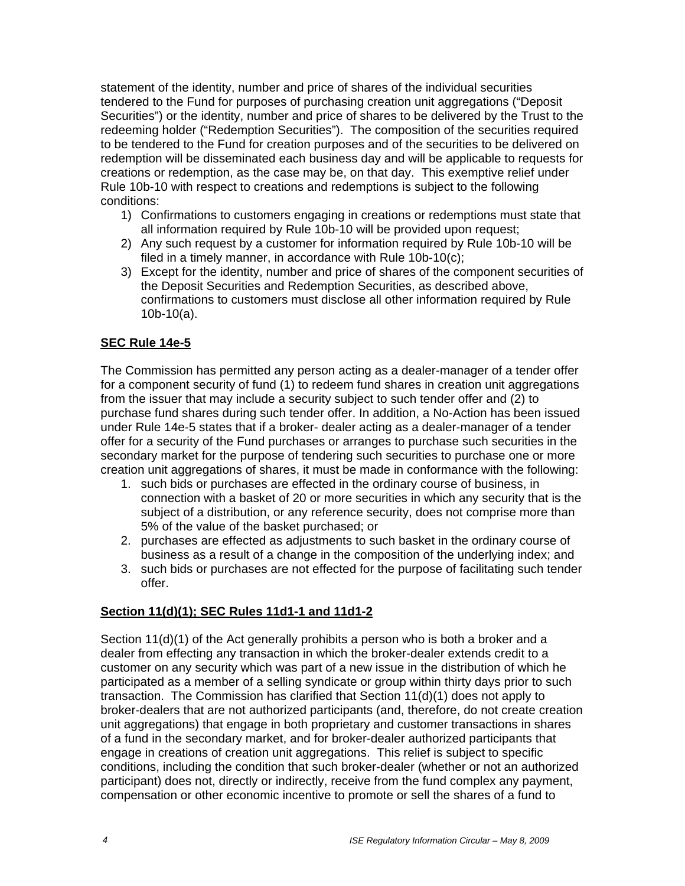statement of the identity, number and price of shares of the individual securities tendered to the Fund for purposes of purchasing creation unit aggregations ("Deposit Securities") or the identity, number and price of shares to be delivered by the Trust to the redeeming holder ("Redemption Securities"). The composition of the securities required to be tendered to the Fund for creation purposes and of the securities to be delivered on redemption will be disseminated each business day and will be applicable to requests for creations or redemption, as the case may be, on that day. This exemptive relief under Rule 10b-10 with respect to creations and redemptions is subject to the following conditions:

- 1) Confirmations to customers engaging in creations or redemptions must state that all information required by Rule 10b-10 will be provided upon request;
- 2) Any such request by a customer for information required by Rule 10b-10 will be filed in a timely manner, in accordance with Rule 10b-10(c);
- 3) Except for the identity, number and price of shares of the component securities of the Deposit Securities and Redemption Securities, as described above, confirmations to customers must disclose all other information required by Rule 10b-10(a).

## **SEC Rule 14e-5**

The Commission has permitted any person acting as a dealer-manager of a tender offer for a component security of fund (1) to redeem fund shares in creation unit aggregations from the issuer that may include a security subject to such tender offer and (2) to purchase fund shares during such tender offer. In addition, a No-Action has been issued under Rule 14e-5 states that if a broker- dealer acting as a dealer-manager of a tender offer for a security of the Fund purchases or arranges to purchase such securities in the secondary market for the purpose of tendering such securities to purchase one or more creation unit aggregations of shares, it must be made in conformance with the following:

- 1. such bids or purchases are effected in the ordinary course of business, in connection with a basket of 20 or more securities in which any security that is the subject of a distribution, or any reference security, does not comprise more than 5% of the value of the basket purchased; or
- 2. purchases are effected as adjustments to such basket in the ordinary course of business as a result of a change in the composition of the underlying index; and
- 3. such bids or purchases are not effected for the purpose of facilitating such tender offer.

## **Section 11(d)(1); SEC Rules 11d1-1 and 11d1-2**

Section 11(d)(1) of the Act generally prohibits a person who is both a broker and a dealer from effecting any transaction in which the broker-dealer extends credit to a customer on any security which was part of a new issue in the distribution of which he participated as a member of a selling syndicate or group within thirty days prior to such transaction. The Commission has clarified that Section 11(d)(1) does not apply to broker-dealers that are not authorized participants (and, therefore, do not create creation unit aggregations) that engage in both proprietary and customer transactions in shares of a fund in the secondary market, and for broker-dealer authorized participants that engage in creations of creation unit aggregations. This relief is subject to specific conditions, including the condition that such broker-dealer (whether or not an authorized participant) does not, directly or indirectly, receive from the fund complex any payment, compensation or other economic incentive to promote or sell the shares of a fund to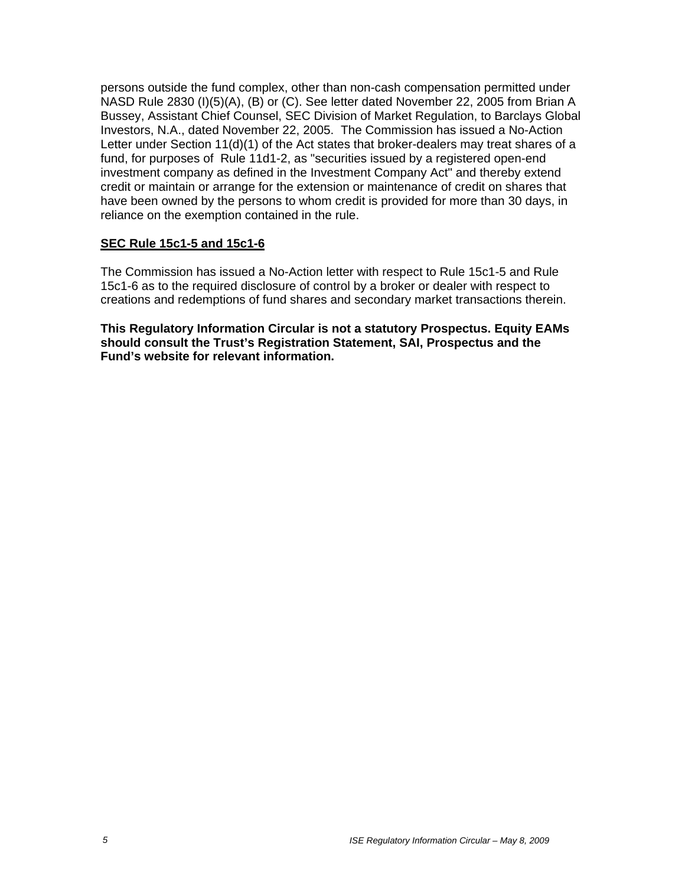persons outside the fund complex, other than non-cash compensation permitted under NASD Rule 2830 (I)(5)(A), (B) or (C). See letter dated November 22, 2005 from Brian A Bussey, Assistant Chief Counsel, SEC Division of Market Regulation, to Barclays Global Investors, N.A., dated November 22, 2005. The Commission has issued a No-Action Letter under Section 11(d)(1) of the Act states that broker-dealers may treat shares of a fund, for purposes of Rule 11d1-2, as "securities issued by a registered open-end investment company as defined in the Investment Company Act" and thereby extend credit or maintain or arrange for the extension or maintenance of credit on shares that have been owned by the persons to whom credit is provided for more than 30 days, in reliance on the exemption contained in the rule.

## **SEC Rule 15c1-5 and 15c1-6**

The Commission has issued a No-Action letter with respect to Rule 15c1-5 and Rule 15c1-6 as to the required disclosure of control by a broker or dealer with respect to creations and redemptions of fund shares and secondary market transactions therein.

**This Regulatory Information Circular is not a statutory Prospectus. Equity EAMs should consult the Trust's Registration Statement, SAI, Prospectus and the Fund's website for relevant information.**